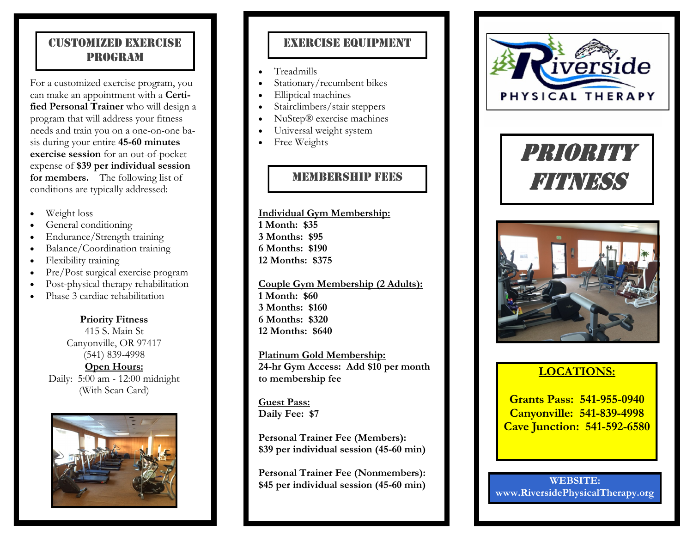# Customized exercise program

For a customized exercise program, you can make an appointment with a **Certified Personal Trainer** who will design a program that will address your fitness needs and train you on a one-on-one basis during your entire **45-60 minutes exercise session** for an out-of-pocket expense of **\$39 per individual session for members.** The following list of conditions are typically addressed:

- Weight loss
- General conditioning
- Endurance/Strength training
- Balance/Coordination training
- Flexibility training
- Pre/Post surgical exercise program
- Post-physical therapy rehabilitation
- Phase 3 cardiac rehabilitation

**Priority Fitness** 415 S. Main St Canyonville, OR 97417 (541) 839-4998 **Open Hours:** Daily: 5:00 am - 12:00 midnight (With Scan Card)



# Exercise equipment

- Treadmills
- Stationary/recumbent bikes
- Elliptical machines
- Stairclimbers/stair steppers
- NuStep® exercise machines
- Universal weight system
- Free Weights

# Membership FEES

**Individual Gym Membership: 1 Month: \$35 3 Months: \$95 6 Months: \$190 12 Months: \$375**

**Couple Gym Membership (2 Adults): 1 Month: \$60 3 Months: \$160 6 Months: \$320 12 Months: \$640**

**Platinum Gold Membership: 24-hr Gym Access: Add \$10 per month to membership fee**

**Guest Pass: Daily Fee: \$7**

**Personal Trainer Fee (Members): \$39 per individual session (45-60 min)**

**Personal Trainer Fee (Nonmembers): \$45 per individual session (45-60 min)**



# PRIORITY FIT TIMESS



# **LOCATIONS:**

**Grants Pass: 541-955-0940 Canyonville: 541-839-4998 Cave Junction: 541-592-6580**

**WEBSITE: www.RiversidePhysicalTherapy.org**